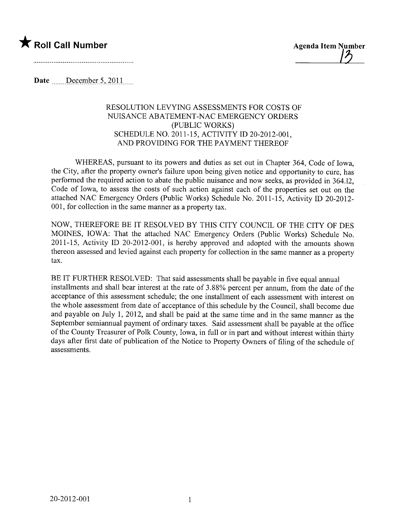

11

Date  $\frac{\text{December 5, 2011}}{\text{December 5, 2011}}$ 

## RESOLUTION LEVYING ASSESSMENTS FOR COSTS OF NUISANCE ABATEMENT -NAC EMERGENCY ORDERS (PUBLIC WORKS) SCHEDULE NO. 2011-15, ACTIVITY ID 20-2012-001, AND PROVIDING FOR THE PAYMENT THEREOF

WHEREAS, pursuant to its powers and duties as set out in Chapter 364, Code of Iowa, the City, after the property owner's failure upon being given notice and opportunity to cure, has performed the required action to abate the public nuisance and now seeks, as provided in 364.12, Code of Iowa, to assess the costs of such action against each of the properties set out on the attached NAC Emergency Orders (Public Works) Schedule No. 2011-15, Activity ID 20-2012- 001, for collection in the same manner as a property tax.

NOW, THEREFORE BE IT RESOLVED BY THIS CITY COUNCIL OF THE CITY OF DES MOINES, IOWA: That the attached NAC Emergency Orders (Public Works) Schedule No. 2011-15, Activity ID 20-2012-001, is hereby approved and adopted with the amounts shown thereon assessed and levied against each property for collection in the same manner as a property tax.

BE IT FURTHER RESOLVED: That said assessments shall be payable in five equal annual installments and shall bear interest at the rate of 3.88% percent per annum, from the date of the acceptance of this assessment schedule; the one installment of each assessment with interest on the whole assessment from date of acceptance of this schedule by the Council, shall become due and payable on July 1, 2012, and shall be paid at the same time and in the same manner as the September semiannual payment of ordinary taxes. Said assessment shall be payable at the office of the County Treasurer of Polk County, Iowa, in full or in part and without interest within thirty days after first date of publication of the Notice to Property Owners of filing of the schedule of assessments.